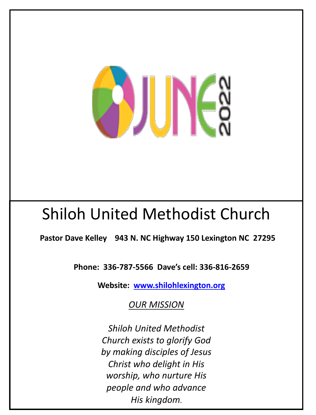

# Shiloh United Methodist Church

**Pastor Dave Kelley 943 N. NC Highway 150 Lexington NC 27295**

**Phone: 336-787[-5566 Dave's cell: 336-816](http://www.shilohlexington.org/)-2659**

**Website: www.shilohlexington.org**

**OUR MISSION** 

*Shiloh United Methodist Church exists to glorify God by making disciples of Jesus Christ who delight in His worship, who nurture His people and who advance His kingdom***.**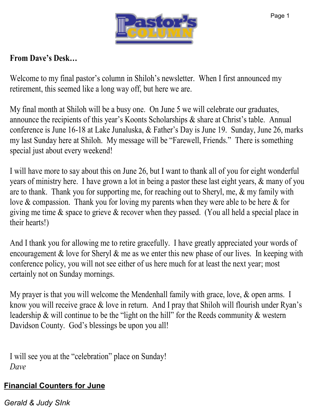

### **From Dave's Desk…**

Welcome to my final pastor's column in Shiloh's newsletter. When I first announced my retirement, this seemed like a long way off, but here we are.

My final month at Shiloh will be a busy one. On June 5 we will celebrate our graduates, announce the recipients of this year's Koonts Scholarships & share at Christ's table. Annual conference is June 16-18 at Lake Junaluska, & Father's Day is June 19. Sunday, June 26, marks my last Sunday here at Shiloh. My message will be "Farewell, Friends." There is something special just about every weekend!

I will have more to say about this on June 26, but I want to thank all of you for eight wonderful years of ministry here. I have grown a lot in being a pastor these last eight years, & many of you are to thank. Thank you for supporting me, for reaching out to Sheryl, me, & my family with love & compassion. Thank you for loving my parents when they were able to be here & for giving me time  $\&$  space to grieve  $\&$  recover when they passed. (You all held a special place in their hearts!)

And I thank you for allowing me to retire gracefully. I have greatly appreciated your words of encouragement  $\&$  love for Sheryl  $\&$  me as we enter this new phase of our lives. In keeping with conference policy, you will not see either of us here much for at least the next year; most certainly not on Sunday mornings.

My prayer is that you will welcome the Mendenhall family with grace, love, & open arms. I know you will receive grace & love in return. And I pray that Shiloh will flourish under Ryan's leadership & will continue to be the "light on the hill" for the Reeds community & western Davidson County. God's blessings be upon you all!

I will see you at the "celebration" place on Sunday! *Dave*

### **Financial Counters for June**

*Gerald & Judy SInk*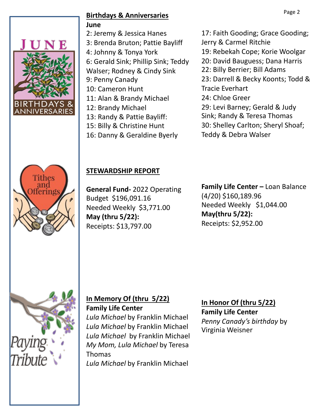

#### Page 2 **Birthdays & Anniversaries June**

2: Jeremy & Jessica Hanes 3: Brenda Bruton; Pattie Bayliff 4: Johnny & Tonya York 6: Gerald Sink; Phillip Sink; Teddy Walser; Rodney & Cindy Sink 9: Penny Canady 10: Cameron Hunt 11: Alan & Brandy Michael 12: Brandy Michael 13: Randy & Pattie Bayliff: 15: Billy & Christine Hunt 16: Danny & Geraldine Byerly

17: Faith Gooding; Grace Gooding; Jerry & Carmel Ritchie 19: Rebekah Cope; Korie Woolgar 20: David Bauguess; Dana Harris

22: Billy Berrier; Bill Adams

23: Darrell & Becky Koonts; Todd &

Tracie Everhart

24: Chloe Greer

29: Levi Barney; Gerald & Judy

Sink; Randy & Teresa Thomas

30: Shelley Carlton; Sheryl Shoaf;

Teddy & Debra Walser



### **STEWARDSHIP REPORT**

**General Fund-** 2022 Operating Budget \$196,091.16 Needed Weekly \$3,771.00 **May (thru 5/22):** Receipts: \$13,797.00

**Family Life Center –** Loan Balance (4/20) \$160,189.96 Needed Weekly \$1,044.00 **May(thru 5/22):** Receipts: \$2,952.00



#### **In Memory Of (thru 5/22) Family Life Center**

*Lula Michael* by Franklin Michael *Lula Michael* by Franklin Michael *Lula Michael* by Franklin Michael *My Mom, Lula Michael* by Teresa Thomas *Lula Michael* by Franklin Michael

**In Honor Of (thru 5/22) Family Life Center** *Penny Canady's birthday* by Virginia Weisner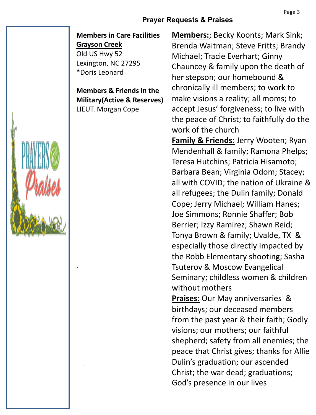#### **Prayer Requests & Praises**

#### **Members in Care Facilities Grayson Creek**

Old US Hwy 52 Lexington, NC 27295 \*Doris Leonard

.

.

**Members & Friends in the Military(Active & Reserves)** LIEUT. Morgan Cope

**Members:**; Becky Koonts; Mark Sink; Brenda Waitman; Steve Fritts; Brandy Michael; Tracie Everhart; Ginny Chauncey & family upon the death of her stepson; our homebound & chronically ill members; to work to make visions a reality; all moms; to accept Jesus' forgiveness; to live with the peace of Christ; to faithfully do the work of the church **Family & Friends:** Jerry Wooten; Ryan

Mendenhall & family; Ramona Phelps; Teresa Hutchins; Patricia Hisamoto; Barbara Bean; Virginia Odom; Stacey; all with COVID; the nation of Ukraine & all refugees; the Dulin family; Donald Cope; Jerry Michael; William Hanes; Joe Simmons; Ronnie Shaffer; Bob Berrier; Izzy Ramirez; Shawn Reid; Tonya Brown & family; Uvalde, TX & especially those directly Impacted by the Robb Elementary shooting; Sasha Tsuterov & Moscow Evangelical Seminary; childless women & children without mothers

**Praises:** Our May anniversaries & birthdays; our deceased members from the past year & their faith; Godly visions; our mothers; our faithful shepherd; safety from all enemies; the peace that Christ gives; thanks for Allie Dulin's graduation; our ascended Christ; the war dead; graduations; God's presence in our lives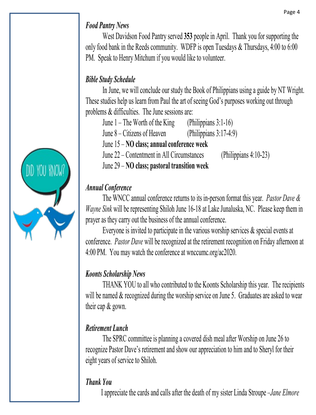# *Food Pantry News*

West Davidson Food Pantry served **353** people in April. Thank you for supporting the only food bank in the Reeds community. WDFP is open Tuesdays & Thursdays, 4:00 to 6:00 PM. Speak to Henry Mitchum if you would like to volunteer.

# *Bible Study Schedule*

In June, we will conclude our study the Book of Philippians using a guide by NT Wright. These studies help us learn from Paul the art of seeing God's purposes working out through problems & difficulties. The June sessions are:

June 1 – The Worth of the King (Philippians 3:1-16)

June 8 – Citizens of Heaven (Philippians 3:17-4:9)

- June 15 **NO class; annual conference week**
- June 22 Contentment in All Circumstances (Philippians 4:10-23)

June 29 – **NO class; pastoral transition week**

# *Annual Conference*

The WNCC annual conference returns to its in-person format this year. *Pastor Dave & Wayne Sink* will be representing Shiloh June 16-18 at Lake Junaluska, NC. Please keep them in prayer as they carry out the business of the annual conference.

Everyone is invited to participate in the various worship services & special events at conference. *Pastor Dave* will be recognized at the retirement recognition on Friday afternoon at 4:00 PM. You may watch the conference at wnccumc.org/ac2020.

# *Koonts Scholarship News*

THANK YOU to all who contributed to the Koonts Scholarship this year. The recipients will be named & recognized during the worship service on June 5. Graduates are asked to wear their cap & gown.

# *Retirement Lunch*

 The SPRC committee is planning a covered dish meal after Worship on June 26 to recognize Pastor Dave's retirement and show our appreciation to him and to Sheryl for their eight years of service to Shiloh.

# *Thank You*

I appreciate the cards and calls after the death of my sister Linda Stroupe –*Jane Elmore*

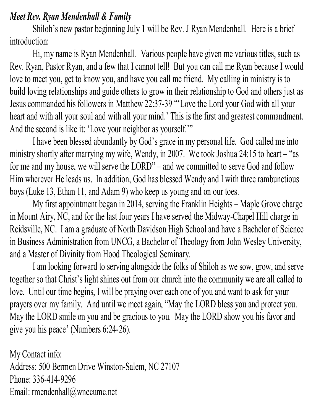### *Meet Rev. Ryan Mendenhall & Family*

Shiloh's new pastor beginning July 1 will be Rev. J Ryan Mendenhall. Here is a brief introduction:

Hi, my name is Ryan Mendenhall. Various people have given me various titles, such as Rev. Ryan, Pastor Ryan, and a few that I cannot tell! But you can call me Ryan because I would love to meet you, get to know you, and have you call me friend. My calling in ministry is to build loving relationships and guide others to grow in their relationship to God and others just as Jesus commanded his followers in Matthew 22:37-39 "'Love the Lord your God with all your heart and with all your soul and with all your mind.' This is the first and greatest commandment. And the second is like it: 'Love your neighbor as yourself.'"

I have been blessed abundantly by God's grace in my personal life. God called me into ministry shortly after marrying my wife, Wendy, in 2007. We took Joshua 24:15 to heart – "as for me and my house, we will serve the LORD" – and we committed to serve God and follow Him wherever He leads us. In addition, God has blessed Wendy and I with three rambunctious boys (Luke 13, Ethan 11, and Adam 9) who keep us young and on our toes.

My first appointment began in 2014, serving the Franklin Heights – Maple Grove charge in Mount Airy, NC, and for the last four years I have served the Midway-Chapel Hill charge in Reidsville, NC. I am a graduate of North Davidson High School and have a Bachelor of Science in Business Administration from UNCG, a Bachelor of Theology from John Wesley University, and a Master of Divinity from Hood Theological Seminary.

I am looking forward to serving alongside the folks of Shiloh as we sow, grow, and serve together so that Christ's light shines out from our church into the community we are all called to love. Until our time begins, I will be praying over each one of you and want to ask for your prayers over my family. And until we meet again, "May the LORD bless you and protect you. May the LORD smile on you and be gracious to you. May the LORD show you his favor and give you his peace' (Numbers 6:24-26).

My Contact info: Address: 500 Bermen Drive Winston-Salem, NC 27107 Phone: 336-414-9296 Email: rmendenhall@wnccumc.net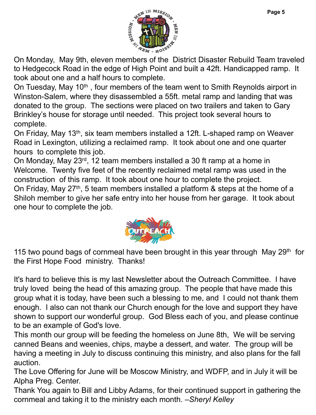

On Monday, May 9th, eleven members of the District Disaster Rebuild Team traveled to Hedgecock Road in the edge of High Point and built a 42ft. Handicapped ramp. It took about one and a half hours to complete.

On Tuesday, May 10<sup>th</sup>, four members of the team went to Smith Reynolds airport in Winston-Salem, where they disassembled a 55ft. metal ramp and landing that was donated to the group. The sections were placed on two trailers and taken to Gary Brinkley's house for storage until needed. This project took several hours to complete.

On Friday, May 13th, six team members installed a 12ft. L-shaped ramp on Weaver Road in Lexington, utilizing a reclaimed ramp. It took about one and one quarter hours to complete this job.

On Monday, May 23rd, 12 team members installed a 30 ft ramp at a home in Welcome. Twenty five feet of the recently reclaimed metal ramp was used in the construction of this ramp. It took about one hour to complete the project.

On Friday, May 27<sup>th</sup>, 5 team members installed a platform & steps at the home of a Shiloh member to give her safe entry into her house from her garage. It took about one hour to complete the job.



115 two pound bags of cornmeal have been brought in this year through May  $29<sup>th</sup>$  for the First Hope Food ministry. Thanks!

It's hard to believe this is my last Newsletter about the Outreach Committee. I have truly loved being the head of this amazing group. The people that have made this group what it is today, have been such a blessing to me, and I could not thank them enough. I also can not thank our Church enough for the love and support they have shown to support our wonderful group. God Bless each of you, and please continue to be an example of God's love.

This month our group will be feeding the homeless on June 8th, We will be serving canned Beans and weenies, chips, maybe a dessert, and water. The group will be having a meeting in July to discuss continuing this ministry, and also plans for the fall auction.

The Love Offering for June will be Moscow Ministry, and WDFP, and in July it will be Alpha Preg. Center.

Thank You again to Bill and Libby Adams, for their continued support in gathering the cornmeal and taking it to the ministry each month. –*Sheryl Kelley*